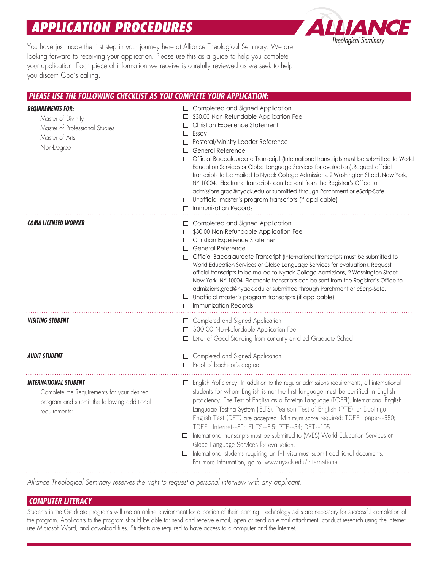# *APPLICATION PROCEDURES*



You have just made the first step in your journey here at Alliance Theological Seminary. We are looking forward to receiving your application. Please use this as a guide to help you complete your application. Each piece of information we receive is carefully reviewed as we seek to help you discern God's calling.

#### *PLEASE USE THE FOLLOWING CHECKLIST AS YOU COMPLETE YOUR APPLICATION: REQUIREMENTS FOR:*  □ Completed and Signed Application Master of Divinity □ \$30.00 Non-Refundable Application Fee □ Christian Experience Statement Master of Professional Studies □ Essay Master of Arts □ Pastoral/Ministry Leader Reference Non-Degree □ General Reference □ Official Baccalaureate Transcript (International transcripts must be submitted to World Education Services or Globe Language Services for evaluation).Request official transcripts to be mailed to Nyack College Admissions, 2 Washington Street, New York, NY 10004. Electronic transcripts can be sent from the Registrar's Office to [admissions.grad@nyack.edu](mailto:admissions.grad@nyack.edu) or submitted through Parchment or eScrip-Safe.  $\square$  Unofficial master's program transcripts (if applicable) □ Immunization Records *C&MA LICENSED WORKER*   $\square$  Completed and Signed Application □ \$30.00 Non-Refundable Application Fee Christian Experience Statement □ □ General Reference □ Official Baccalaureate Transcript (International transcripts must be submitted to World Education Services or Globe Language Services for evaluation). Request official transcripts to be mailed to Nyack College Admissions, 2 Washington Street, New York, NY 10004. Electronic transcripts can be sent from the Registrar's Office to [admissions.grad@nyack.edu](mailto:admissions.grad@nyack.edu) or submitted through Parchment or eScrip-Safe.  $\Box$  Unofficial master's program transcripts (if applicable) □ Immunization Records **VISITING STUDENT Completed and Signed Application** □ \$30.00 Non-Refundable Application Fee □ Letter of Good Standing from currently enrolled Graduate School □ *AUDIT STUDENT* Completed and Signed Application □ Proof of bachelor's degree *INTERNATIONAL STUDENT*   $\Box$  English Proticiency: In addition to the regular admissions requirements, all international Complete the Requirements for your desired students for whom English is not the first language must be certified in English proficiency. The Test of English as a Foreign Language (TOEFL), International English program and submit the following additional Language Testing System (IELTS), Pearson Test of English (PTE), or Duolingo requirements: English Test (DET) are accepted. Minimum score required: TOEFL paper--550; TOEFL Internet--80; IELTS--6.5; PTE--54; DET--105. □ International transcripts must be submitted to (WES) World Education Services or Globe Language Services for evaluation. □ International students requiring an F-1 visa must submit additional documents. For more information, go to: <www.nyack.edu/international>

*Alliance Theological Seminary reserves the right to request a personal interview with any applicant.* 

### *COMPUTER LITERACY*

Students in the Graduate programs will use an online environment for a portion of their learning. Technology skills are necessary for successful completion of the program. Applicants to the program should be able to: send and receive e-mail, open or send an e-mail attachment, conduct research using the Internet, use Microsoft Word, and download files. Students are required to have access to a computer and the Internet.